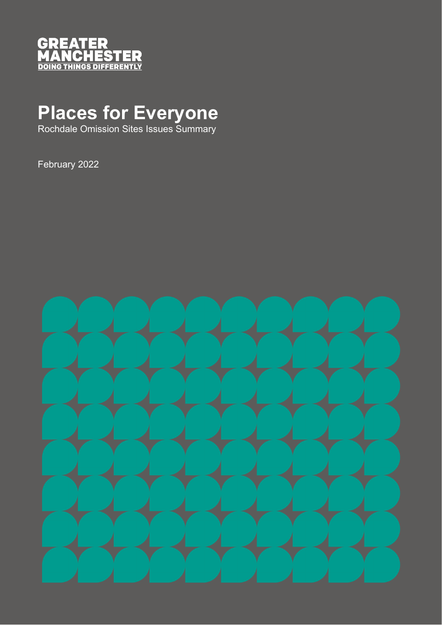

## **Places for Everyone**

Rochdale Omission Sites Issues Summary

February 2022

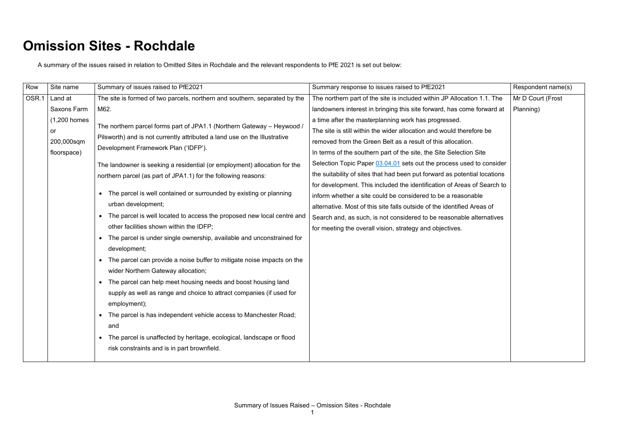## **Omission Sites - Rochdale**

A summary of the issues raised in relation to Omitted Sites in Rochdale and the relevant respondents to PfE 2021 is set out below:

| Row   | Site name          | Summary of issues raised to PfE2021                                                                                                                                                                                                                              | Summary response to issues raised to PfE2021                              | Respondent name(s) |
|-------|--------------------|------------------------------------------------------------------------------------------------------------------------------------------------------------------------------------------------------------------------------------------------------------------|---------------------------------------------------------------------------|--------------------|
| OSR.1 | Land at            | The site is formed of two parcels, northern and southern, separated by the                                                                                                                                                                                       | The northern part of the site is included within JP Allocation 1.1. The   | Mr D Court (Frost  |
|       | <b>Saxons Farm</b> | M62.                                                                                                                                                                                                                                                             | landowners interest in bringing this site forward, has come forward at    | Planning)          |
|       | $(1,200$ homes     |                                                                                                                                                                                                                                                                  | a time after the masterplanning work has progressed.                      |                    |
|       | or                 | The northern parcel forms part of JPA1.1 (Northern Gateway - Heywood /                                                                                                                                                                                           | The site is still within the wider allocation and would therefore be      |                    |
|       | 200,000sqm         | Pilsworth) and is not currently attributed a land use on the Illustrative<br>Development Framework Plan ('IDFP').<br>The landowner is seeking a residential (or employment) allocation for the<br>northern parcel (as part of JPA1.1) for the following reasons: | removed from the Green Belt as a result of this allocation.               |                    |
|       | floorspace)        |                                                                                                                                                                                                                                                                  | In terms of the southern part of the site, the Site Selection Site        |                    |
|       |                    |                                                                                                                                                                                                                                                                  | Selection Topic Paper 03.04.01 sets out the process used to consider      |                    |
|       |                    |                                                                                                                                                                                                                                                                  | the suitability of sites that had been put forward as potential locations |                    |
|       |                    |                                                                                                                                                                                                                                                                  | for development. This included the identification of Areas of Search to   |                    |
|       |                    | The parcel is well contained or surrounded by existing or planning                                                                                                                                                                                               | inform whether a site could be considered to be a reasonable              |                    |
|       |                    | urban development;                                                                                                                                                                                                                                               | alternative. Most of this site falls outside of the identified Areas of   |                    |
|       |                    | The parcel is well located to access the proposed new local centre and                                                                                                                                                                                           | Search and, as such, is not considered to be reasonable alternatives      |                    |
|       |                    | other facilities shown within the IDFP;                                                                                                                                                                                                                          | for meeting the overall vision, strategy and objectives.                  |                    |
|       |                    | The parcel is under single ownership, available and unconstrained for<br>$\bullet$                                                                                                                                                                               |                                                                           |                    |
|       |                    | development;                                                                                                                                                                                                                                                     |                                                                           |                    |
|       |                    | The parcel can provide a noise buffer to mitigate noise impacts on the                                                                                                                                                                                           |                                                                           |                    |
|       |                    | wider Northern Gateway allocation;                                                                                                                                                                                                                               |                                                                           |                    |
|       |                    | The parcel can help meet housing needs and boost housing land<br>$\bullet$                                                                                                                                                                                       |                                                                           |                    |
|       |                    | supply as well as range and choice to attract companies (if used for                                                                                                                                                                                             |                                                                           |                    |
|       |                    | employment);                                                                                                                                                                                                                                                     |                                                                           |                    |
|       |                    | The parcel is has independent vehicle access to Manchester Road;                                                                                                                                                                                                 |                                                                           |                    |
|       |                    | and                                                                                                                                                                                                                                                              |                                                                           |                    |
|       |                    | The parcel is unaffected by heritage, ecological, landscape or flood<br>$\bullet$                                                                                                                                                                                |                                                                           |                    |
|       |                    | risk constraints and is in part brownfield.                                                                                                                                                                                                                      |                                                                           |                    |
|       |                    |                                                                                                                                                                                                                                                                  |                                                                           |                    |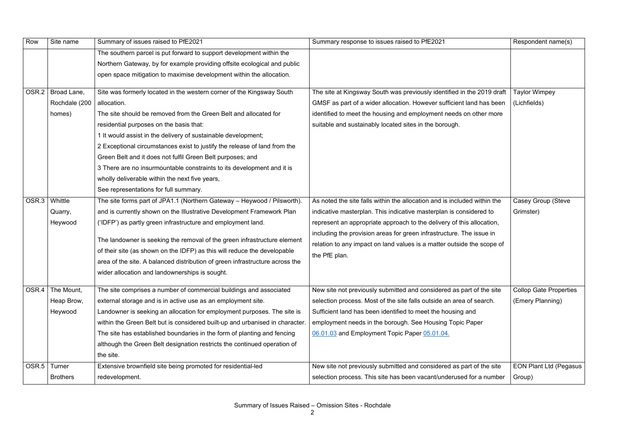| Row   | Site name       | Summary of issues raised to PfE2021                                                                                            | Summary response to issues raised to PfE2021                             | Respondent name(s)            |
|-------|-----------------|--------------------------------------------------------------------------------------------------------------------------------|--------------------------------------------------------------------------|-------------------------------|
|       |                 | The southern parcel is put forward to support development within the                                                           |                                                                          |                               |
|       |                 | Northern Gateway, by for example providing offsite ecological and public                                                       |                                                                          |                               |
|       |                 | open space mitigation to maximise development within the allocation.                                                           |                                                                          |                               |
| OSR.2 | Broad Lane,     | Site was formerly located in the western corner of the Kingsway South                                                          | The site at Kingsway South was previously identified in the 2019 draft   | <b>Taylor Wimpey</b>          |
|       | Rochdale (200   | allocation.                                                                                                                    | GMSF as part of a wider allocation. However sufficient land has been     | (Lichfields)                  |
|       | homes)          | The site should be removed from the Green Belt and allocated for                                                               | identified to meet the housing and employment needs on other more        |                               |
|       |                 | residential purposes on the basis that:                                                                                        | suitable and sustainably located sites in the borough.                   |                               |
|       |                 | 1 It would assist in the delivery of sustainable development;                                                                  |                                                                          |                               |
|       |                 | 2 Exceptional circumstances exist to justify the release of land from the                                                      |                                                                          |                               |
|       |                 | Green Belt and it does not fulfil Green Belt purposes; and                                                                     |                                                                          |                               |
|       |                 | 3 There are no insurmountable constraints to its development and it is                                                         |                                                                          |                               |
|       |                 | wholly deliverable within the next five years,                                                                                 |                                                                          |                               |
|       |                 | See representations for full summary.                                                                                          |                                                                          |                               |
| OSR.3 | Whittle         | The site forms part of JPA1.1 (Northern Gateway - Heywood / Pilsworth).                                                        | As noted the site falls within the allocation and is included within the | <b>Casey Group (Steve</b>     |
|       | Quarry,         | and is currently shown on the Illustrative Development Framework Plan                                                          | indicative masterplan. This indicative masterplan is considered to       | Grimster)                     |
|       | Heywood         | ('IDFP') as partly green infrastructure and employment land.                                                                   | represent an appropriate approach to the delivery of this allocation,    |                               |
|       |                 |                                                                                                                                | including the provision areas for green infrastructure. The issue in     |                               |
|       |                 | The landowner is seeking the removal of the green infrastructure element                                                       | relation to any impact on land values is a matter outside the scope of   |                               |
|       |                 | of their site (as shown on the IDFP) as this will reduce the developable                                                       | the PfE plan.                                                            |                               |
|       |                 | area of the site. A balanced distribution of green infrastructure across the<br>wider allocation and landownerships is sought. |                                                                          |                               |
|       |                 |                                                                                                                                |                                                                          |                               |
| OSR.4 | The Mount,      | The site comprises a number of commercial buildings and associated                                                             | New site not previously submitted and considered as part of the site     | <b>Collop Gate Properties</b> |
|       | Heap Brow,      | external storage and is in active use as an employment site.                                                                   | selection process. Most of the site falls outside an area of search.     | (Emery Planning)              |
|       | Heywood         | Landowner is seeking an allocation for employment purposes. The site is                                                        | Sufficient land has been identified to meet the housing and              |                               |
|       |                 | within the Green Belt but is considered built-up and urbanised in character.                                                   | employment needs in the borough. See Housing Topic Paper                 |                               |
|       |                 | The site has established boundaries in the form of planting and fencing                                                        | 06.01.03 and Employment Topic Paper 05.01.04.                            |                               |
|       |                 | although the Green Belt designation restricts the continued operation of                                                       |                                                                          |                               |
|       |                 | the site.                                                                                                                      |                                                                          |                               |
|       | OSR.5   Turner  | Extensive brownfield site being promoted for residential-led                                                                   | New site not previously submitted and considered as part of the site     | <b>EON Plant Ltd (Pegasus</b> |
|       | <b>Brothers</b> | redevelopment.                                                                                                                 | selection process. This site has been vacant/underused for a number      | Group)                        |